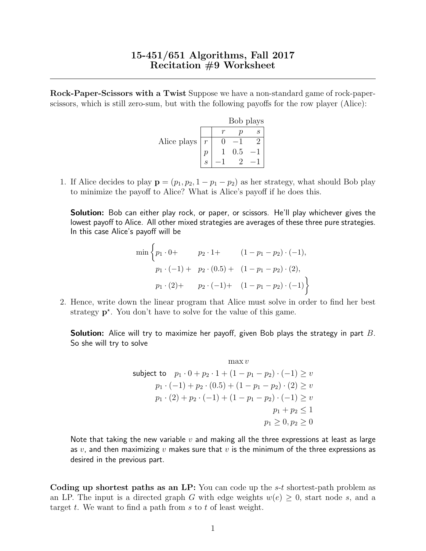Rock-Paper-Scissors with a Twist Suppose we have a non-standard game of rock-paperscissors, which is still zero-sum, but with the following payoffs for the row player (Alice):

|             |               | Bob plays |  |
|-------------|---------------|-----------|--|
|             |               |           |  |
| Alice plays | $\mathcal{r}$ |           |  |
|             |               | 0.5       |  |
|             |               |           |  |

1. If Alice decides to play  $\mathbf{p} = (p_1, p_2, 1 - p_1 - p_2)$  as her strategy, what should Bob play to minimize the payoff to Alice? What is Alice's payoff if he does this.

Solution: Bob can either play rock, or paper, or scissors. He'll play whichever gives the lowest payoff to Alice. All other mixed strategies are averages of these three pure strategies. In this case Alice's payoff will be

$$
\min\left\{p_1 \cdot 0 + p_2 \cdot 1 + (1 - p_1 - p_2) \cdot (-1),
$$
  
\n
$$
p_1 \cdot (-1) + p_2 \cdot (0.5) + (1 - p_1 - p_2) \cdot (2),
$$
  
\n
$$
p_1 \cdot (2) + p_2 \cdot (-1) + (1 - p_1 - p_2) \cdot (-1)\right\}
$$

2. Hence, write down the linear program that Alice must solve in order to find her best strategy  $p^*$ . You don't have to solve for the value of this game.

**Solution:** Alice will try to maximize her payoff, given Bob plays the strategy in part  $B$ . So she will try to solve

$$
\max v
$$
\nsubject to  $p_1 \cdot 0 + p_2 \cdot 1 + (1 - p_1 - p_2) \cdot (-1) \ge v$ \n
$$
p_1 \cdot (-1) + p_2 \cdot (0.5) + (1 - p_1 - p_2) \cdot (2) \ge v
$$
\n
$$
p_1 \cdot (2) + p_2 \cdot (-1) + (1 - p_1 - p_2) \cdot (-1) \ge v
$$
\n
$$
p_1 + p_2 \le 1
$$
\n
$$
p_1 \ge 0, p_2 \ge 0
$$

Note that taking the new variable  $v$  and making all the three expressions at least as large as v, and then maximizing v makes sure that v is the minimum of the three expressions as desired in the previous part.

Coding up shortest paths as an LP: You can code up the s-t shortest-path problem as an LP. The input is a directed graph G with edge weights  $w(e) \geq 0$ , start node s, and a target  $t$ . We want to find a path from  $s$  to  $t$  of least weight.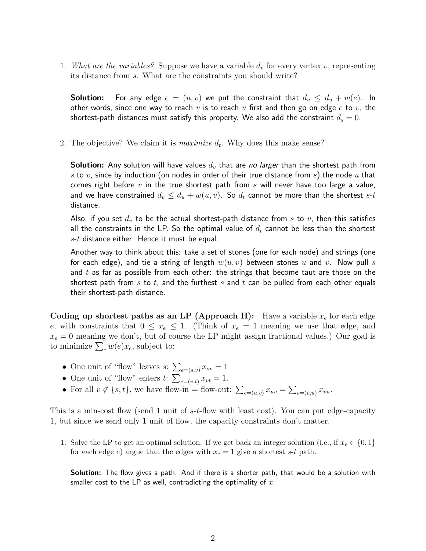1. What are the variables? Suppose we have a variable  $d_v$  for every vertex v, representing its distance from s. What are the constraints you should write?

**Solution:** For any edge  $e = (u, v)$  we put the constraint that  $d_v \leq d_u + w(e)$ . In other words, since one way to reach  $v$  is to reach  $u$  first and then go on edge  $e$  to  $v$ , the shortest-path distances must satisfy this property. We also add the constraint  $d_s = 0$ .

2. The objective? We claim it is *maximize*  $d_t$ . Why does this make sense?

**Solution:** Any solution will have values  $d_v$  that are no larger than the shortest path from s to  $v$ , since by induction (on nodes in order of their true distance from  $s$ ) the node  $u$  that comes right before  $v$  in the true shortest path from  $s$  will never have too large a value, and we have constrained  $d_v \leq d_u + w(u, v)$ . So  $d_t$  cannot be more than the shortest s-t distance.

Also, if you set  $d_v$  to be the actual shortest-path distance from s to v, then this satisfies all the constraints in the LP. So the optimal value of  $d_t$  cannot be less than the shortest  $s-t$  distance either. Hence it must be equal.

Another way to think about this: take a set of stones (one for each node) and strings (one for each edge), and tie a string of length  $w(u, v)$  between stones u and v. Now pull s and  $t$  as far as possible from each other: the strings that become taut are those on the shortest path from  $s$  to  $t$ , and the furthest  $s$  and  $t$  can be pulled from each other equals their shortest-path distance.

Coding up shortest paths as an LP (Approach II): Have a variable  $x_e$  for each edge e, with constraints that  $0 \leq x_e \leq 1$ . (Think of  $x_e = 1$  meaning we use that edge, and  $x_e = 0$  meaning we don't, but of course the LP might assign fractional values.) Our goal is to minimize  $\sum_{e} w(e) x_e$ , subject to:

- One unit of "flow" leaves  $s: \sum_{e=(s,v)} x_{sv} = 1$
- One unit of "flow" enters  $t: \sum_{e=(v,t)} x_{vt} = 1$ .
- For all  $v \notin \{s, t\}$ , we have flow-in = flow-out:  $\sum_{e=(u,v)} x_{uv} = \sum_{e=(v,u)} x_{vu}$ .

This is a min-cost flow (send 1 unit of s-t-flow with least cost). You can put edge-capacity 1, but since we send only 1 unit of flow, the capacity constraints don't matter.

1. Solve the LP to get an optimal solution. If we get back an integer solution (i.e., if  $x_e \in \{0, 1\}$ ) for each edge  $e$ ) argue that the edges with  $x_e = 1$  give a shortest s-t path.

Solution: The flow gives a path. And if there is a shorter path, that would be a solution with smaller cost to the LP as well, contradicting the optimality of  $x$ .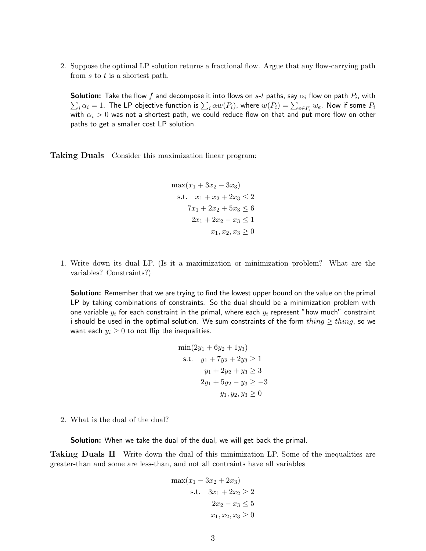2. Suppose the optimal LP solution returns a fractional flow. Argue that any flow-carrying path from s to t is a shortest path.

<code>Solution:</code> Take the flow  $f$  and decompose it into flows on  $s\text{-}t$  paths, say  $\alpha_i$  flow on path  $P_i$ , with  $\sum_i \alpha_i=1.$  The LP objective function is  $\sum_i \alpha w(P_i)$ , where  $w(P_i)=\sum_{e\in P_i}w_e.$  Now if some  $P_i$ with  $\alpha_i > 0$  was not a shortest path, we could reduce flow on that and put more flow on other paths to get a smaller cost LP solution.

Taking Duals Consider this maximization linear program:

 $\max(x_1 + 3x_2 - 3x_3)$ s.t.  $x_1 + x_2 + 2x_3 \leq 2$  $7x_1 + 2x_2 + 5x_3 \leq 6$  $2x_1 + 2x_2 - x_3 \leq 1$  $x_1, x_2, x_3 \geq 0$ 

1. Write down its dual LP. (Is it a maximization or minimization problem? What are the variables? Constraints?)

**Solution:** Remember that we are trying to find the lowest upper bound on the value on the primal LP by taking combinations of constraints. So the dual should be a minimization problem with one variable  $y_i$  for each constraint in the primal, where each  $y_i$  represent "how much" constraint i should be used in the optimal solution. We sum constraints of the form  $thing \ge thing$ , so we want each  $y_i \geq 0$  to not flip the inequalities.

$$
min(2y1 + 6y2 + 1y3)
$$
  
s.t.  $y_1 + 7y_2 + 2y_3 \ge 1$   
 $y_1 + 2y_2 + y_3 \ge 3$   
 $2y_1 + 5y_2 - y_3 \ge -3$   
 $y_1, y_2, y_3 \ge 0$ 

2. What is the dual of the dual?

**Solution:** When we take the dual of the dual, we will get back the primal.

Taking Duals II Write down the dual of this minimization LP. Some of the inequalities are greater-than and some are less-than, and not all contraints have all variables

$$
\max(x_1 - 3x_2 + 2x_3)
$$
  
s.t.  $3x_1 + 2x_2 \ge 2$   
 $2x_2 - x_3 \le 5$   
 $x_1, x_2, x_3 \ge 0$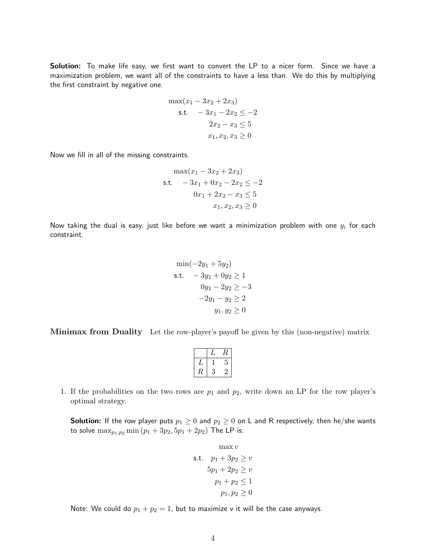Solution: To make life easy, we first want to convert the LP to a nicer form. Since we have a maximization problem, we want all of the constraints to have a less than. We do this by multiplying the first constraint by negative one.

$$
\max(x_1 - 3x_2 + 2x_3)
$$
  
s.t.  $-3x_1 - 2x_2 \le -2$   
 $2x_2 - x_3 \le 5$   
 $x_1, x_2, x_3 \ge 0$ 

Now we fill in all of the missing constraints.

$$
\max(x_1 - 3x_2 + 2x_3)
$$
  
s.t. 
$$
-3x_1 + 0x_2 - 2x_2 \le -2
$$

$$
0x_1 + 2x_2 - x_3 \le 5
$$

$$
x_1, x_2, x_3 \ge 0
$$

Now taking the dual is easy, just like before we want a minimization problem with one  $y_i$  for each constraint.

$$
\min(-2y_1 + 5y_2)
$$
  
s.t.  $-3y_1 + 0y_2 \ge 1$   
 $0y_1 - 2y_2 \ge -3$   
 $-2y_1 - y_2 \ge 2$   
 $y_1, y_2 \ge 0$ 

Minimax from Duality Let the row-player's payoff be given by this (non-negative) matrix

|   |   | í |
|---|---|---|
|   |   | 5 |
| к | 3 |   |

1. If the probabilities on the two rows are  $p_1$  and  $p_2$ , write down an LP for the row player's optimal strategy.

**Solution:** If the row player puts  $p_1 \geq 0$  and  $p_2 \geq 0$  on L and R respectively, then he/she wants to solve  $\max_{p_1,p_2} \min (p_1 + 3p_2, 5p_1 + 2p_2)$  The LP is:

$$
\max v
$$
  
s.t.  $p_1 + 3p_2 \ge v$   

$$
5p_1 + 2p_2 \ge v
$$
  

$$
p_1 + p_2 \le 1
$$
  

$$
p_1, p_2 \ge 0
$$

Note: We could do  $p_1 + p_2 = 1$ , but to maximize v it will be the case anyways.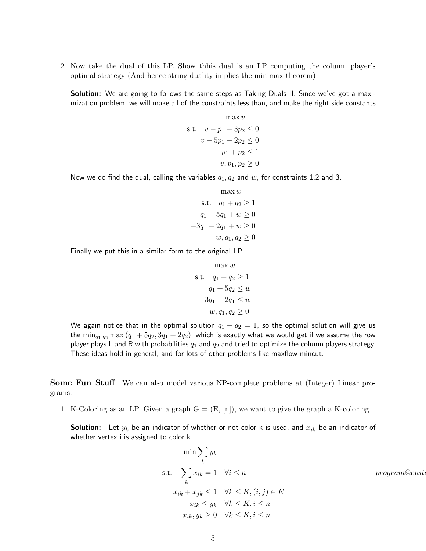2. Now take the dual of this LP. Show thhis dual is an LP computing the column player's optimal strategy (And hence string duality implies the minimax theorem)

**Solution:** We are going to follows the same steps as Taking Duals II. Since we've got a maximization problem, we will make all of the constraints less than, and make the right side constants

$$
\max v
$$
  
s.t. 
$$
v - p_1 - 3p_2 \le 0
$$

$$
v - 5p_1 - 2p_2 \le 0
$$

$$
p_1 + p_2 \le 1
$$

$$
v, p_1, p_2 \ge 0
$$

Now we do find the dual, calling the variables  $q_1, q_2$  and w, for constraints 1,2 and 3.

$$
\max w
$$
  
s.t.  $q_1 + q_2 \ge 1$   
 $-q_1 - 5q_1 + w \ge 0$   
 $-3q_1 - 2q_1 + w \ge 0$   
 $w, q_1, q_2 \ge 0$ 

 $m_0 \approx m_1 \approx m$ 

Finally we put this in a similar form to the original LP:

$$
\max w
$$
\n
$$
s.t. \quad q_1 + q_2 \ge 1
$$
\n
$$
q_1 + 5q_2 \le w
$$
\n
$$
3q_1 + 2q_1 \le w
$$
\n
$$
w, q_1, q_2 \ge 0
$$

We again notice that in the optimal solution  $q_1 + q_2 = 1$ , so the optimal solution will give us the  $\min_{q_1,q_2} \max (q_1 + 5q_2, 3q_1 + 2q_2)$ , which is exactly what we would get if we assume the row player plays L and R with probabilities  $q_1$  and  $q_2$  and tried to optimize the column players strategy. These ideas hold in general, and for lots of other problems like maxflow-mincut.

Some Fun Stuff We can also model various NP-complete problems at (Integer) Linear programs.

1. K-Coloring as an LP. Given a graph  $G = (E, [n])$ , we want to give the graph a K-coloring.

**Solution:** Let  $y_k$  be an indicator of whether or not color k is used, and  $x_{ik}$  be an indicator of whether vertex i is assigned to color k.

$$
\min \sum_{k} y_k
$$
\n
$$
\text{s.t.} \sum_{k} x_{ik} = 1 \quad \forall i \le n \quad \text{program@epst}
$$
\n
$$
x_{ik} + x_{jk} \le 1 \quad \forall k \le K, (i, j) \in E
$$
\n
$$
x_{ik} \le y_k \quad \forall k \le K, i \le n
$$
\n
$$
x_{ik}, y_k \ge 0 \quad \forall k \le K, i \le n
$$